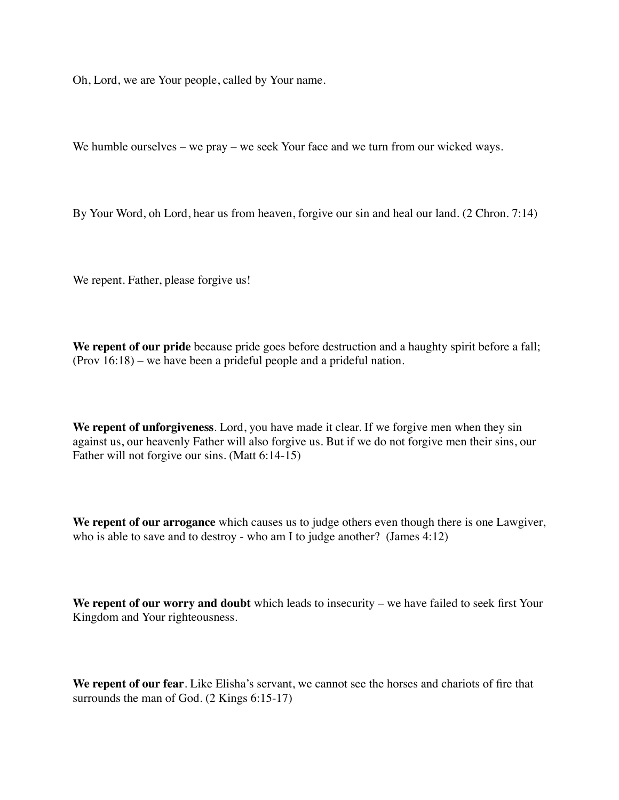Oh, Lord, we are Your people, called by Your name.

We humble ourselves – we pray – we seek Your face and we turn from our wicked ways.

By Your Word, oh Lord, hear us from heaven, forgive our sin and heal our land. (2 Chron. 7:14)

We repent. Father, please forgive us!

**We repent of our pride** because pride goes before destruction and a haughty spirit before a fall; (Prov 16:18) – we have been a prideful people and a prideful nation.

**We repent of unforgiveness**. Lord, you have made it clear. If we forgive men when they sin against us, our heavenly Father will also forgive us. But if we do not forgive men their sins, our Father will not forgive our sins. (Matt 6:14-15)

**We repent of our arrogance** which causes us to judge others even though there is one Lawgiver, who is able to save and to destroy - who am I to judge another? (James 4:12)

**We repent of our worry and doubt** which leads to insecurity – we have failed to seek first Your Kingdom and Your righteousness.

**We repent of our fear**. Like Elisha's servant, we cannot see the horses and chariots of fire that surrounds the man of God. (2 Kings 6:15-17)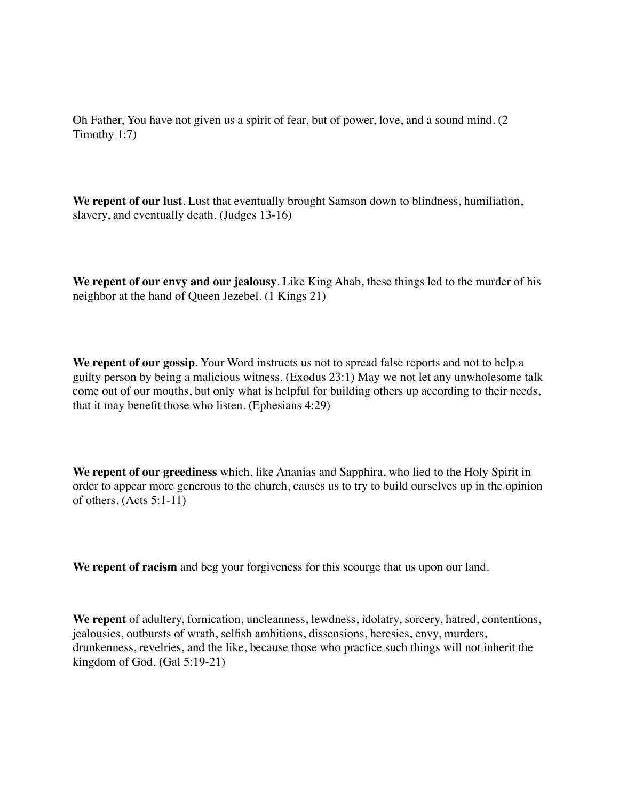Oh Father, You have not given us a spirit of fear, but of power, love, and a sound mind. (2 Timothy 1:7)

**We repent of our lust**. Lust that eventually brought Samson down to blindness, humiliation, slavery, and eventually death. (Judges 13-16)

**We repent of our envy and our jealousy**. Like King Ahab, these things led to the murder of his neighbor at the hand of Queen Jezebel. (1 Kings 21)

**We repent of our gossip**. Your Word instructs us not to spread false reports and not to help a guilty person by being a malicious witness. (Exodus 23:1) May we not let any unwholesome talk come out of our mouths, but only what is helpful for building others up according to their needs, that it may benefit those who listen. (Ephesians 4:29)

**We repent of our greediness** which, like Ananias and Sapphira, who lied to the Holy Spirit in order to appear more generous to the church, causes us to try to build ourselves up in the opinion of others. (Acts 5:1-11)

We repent of racism and beg your forgiveness for this scourge that us upon our land.

**We repent** of adultery, fornication, uncleanness, lewdness, idolatry, sorcery, hatred, contentions, jealousies, outbursts of wrath, selfish ambitions, dissensions, heresies, envy, murders, drunkenness, revelries, and the like, because those who practice such things will not inherit the kingdom of God. (Gal 5:19-21)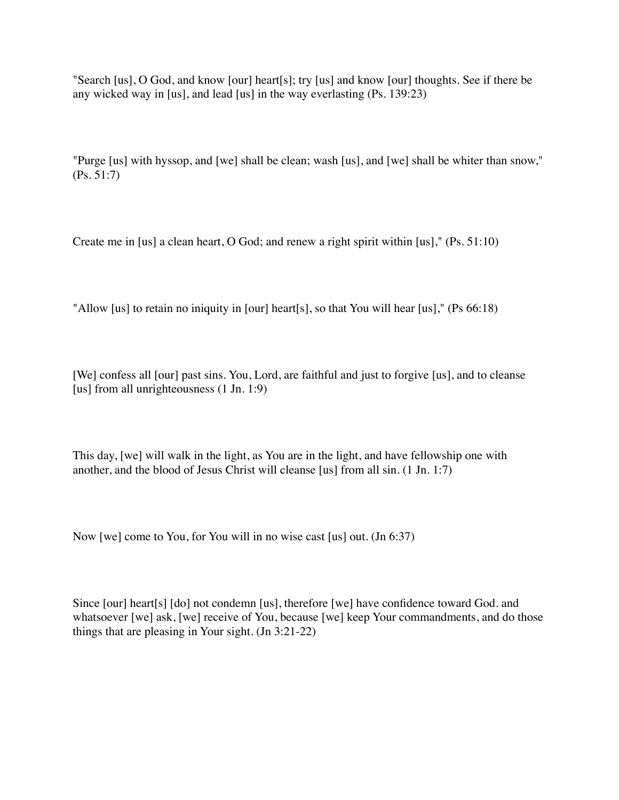"Search [us], O God, and know [our] heart[s]; try [us] and know [our] thoughts. See if there be any wicked way in [us], and lead [us] in the way everlasting (Ps. 139:23)

"Purge [us] with hyssop, and [we] shall be clean; wash [us], and [we] shall be whiter than snow," (Ps. 51:7)

Create me in [us] a clean heart, O God; and renew a right spirit within [us]," (Ps. 51:10)

"Allow [us] to retain no iniquity in [our] heart[s], so that You will hear [us]," (Ps 66:18)

[We] confess all [our] past sins. You, Lord, are faithful and just to forgive [us], and to cleanse [us] from all unrighteousness (1 Jn. 1:9)

This day, [we] will walk in the light, as You are in the light, and have fellowship one with another, and the blood of Jesus Christ will cleanse [us] from all sin. (1 Jn. 1:7)

Now [we] come to You, for You will in no wise cast [us] out. (Jn 6:37)

Since [our] heart[s] [do] not condemn [us], therefore [we] have confidence toward God. and whatsoever [we] ask, [we] receive of You, because [we] keep Your commandments, and do those things that are pleasing in Your sight. (Jn 3:21-22)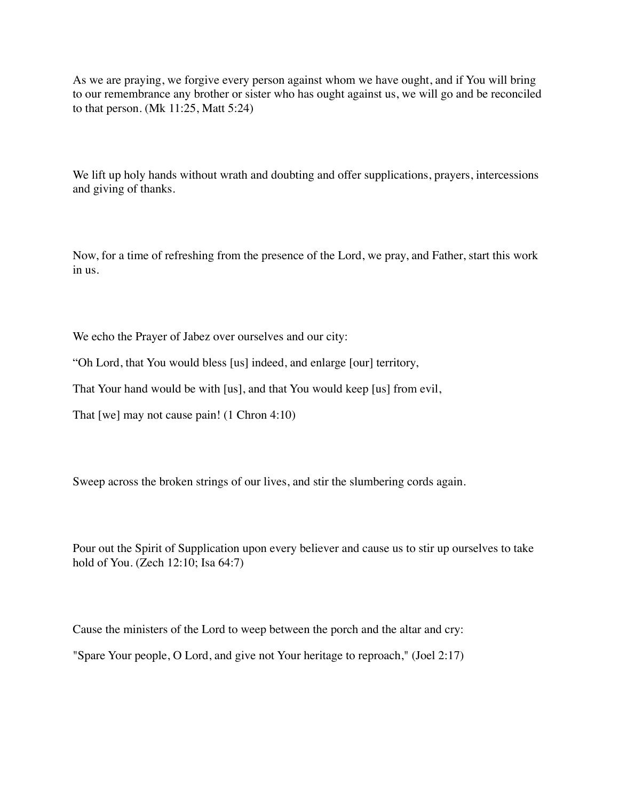As we are praying, we forgive every person against whom we have ought, and if You will bring to our remembrance any brother or sister who has ought against us, we will go and be reconciled to that person. (Mk  $11:25$ , Matt  $5:24$ )

We lift up holy hands without wrath and doubting and offer supplications, prayers, intercessions and giving of thanks.

Now, for a time of refreshing from the presence of the Lord, we pray, and Father, start this work in us.

We echo the Prayer of Jabez over ourselves and our city:

"Oh Lord, that You would bless [us] indeed, and enlarge [our] territory,

That Your hand would be with [us], and that You would keep [us] from evil,

That [we] may not cause pain! (1 Chron 4:10)

Sweep across the broken strings of our lives, and stir the slumbering cords again.

Pour out the Spirit of Supplication upon every believer and cause us to stir up ourselves to take hold of You. (Zech 12:10; Isa 64:7)

Cause the ministers of the Lord to weep between the porch and the altar and cry:

"Spare Your people, O Lord, and give not Your heritage to reproach," (Joel 2:17)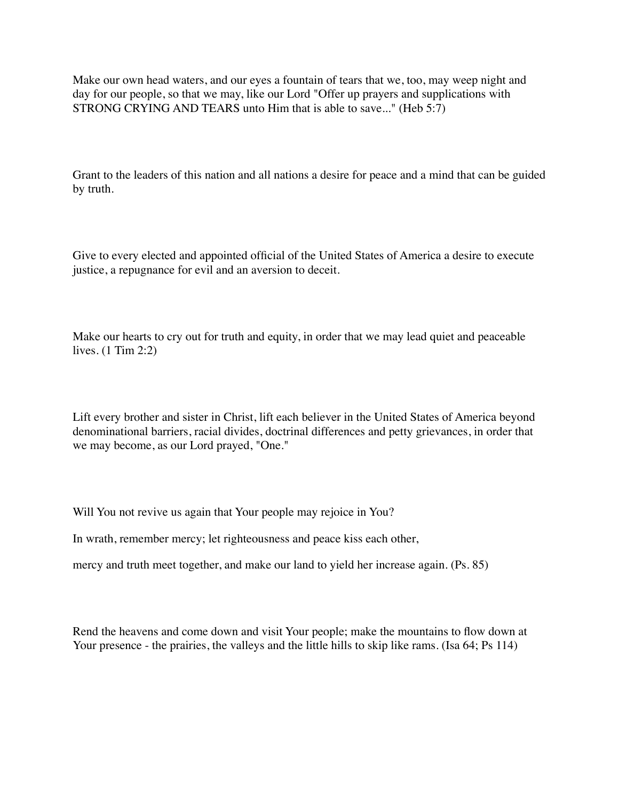Make our own head waters, and our eyes a fountain of tears that we, too, may weep night and day for our people, so that we may, like our Lord "Offer up prayers and supplications with STRONG CRYING AND TEARS unto Him that is able to save..." (Heb 5:7)

Grant to the leaders of this nation and all nations a desire for peace and a mind that can be guided by truth.

Give to every elected and appointed official of the United States of America a desire to execute justice, a repugnance for evil and an aversion to deceit.

Make our hearts to cry out for truth and equity, in order that we may lead quiet and peaceable lives. (1 Tim 2:2)

Lift every brother and sister in Christ, lift each believer in the United States of America beyond denominational barriers, racial divides, doctrinal differences and petty grievances, in order that we may become, as our Lord prayed, "One."

Will You not revive us again that Your people may rejoice in You?

In wrath, remember mercy; let righteousness and peace kiss each other,

mercy and truth meet together, and make our land to yield her increase again. (Ps. 85)

Rend the heavens and come down and visit Your people; make the mountains to flow down at Your presence - the prairies, the valleys and the little hills to skip like rams. (Isa 64; Ps 114)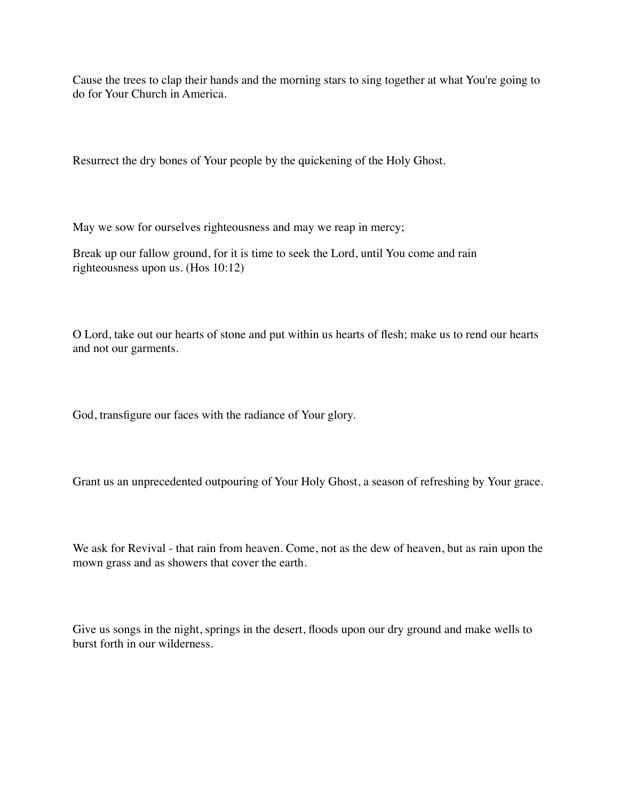Cause the trees to clap their hands and the morning stars to sing together at what You're going to do for Your Church in America.

Resurrect the dry bones of Your people by the quickening of the Holy Ghost.

May we sow for ourselves righteousness and may we reap in mercy;

Break up our fallow ground, for it is time to seek the Lord, until You come and rain righteousness upon us. (Hos 10:12)

O Lord, take out our hearts of stone and put within us hearts of flesh; make us to rend our hearts and not our garments.

God, transfigure our faces with the radiance of Your glory.

Grant us an unprecedented outpouring of Your Holy Ghost, a season of refreshing by Your grace.

We ask for Revival - that rain from heaven. Come, not as the dew of heaven, but as rain upon the mown grass and as showers that cover the earth.

Give us songs in the night, springs in the desert, floods upon our dry ground and make wells to burst forth in our wilderness.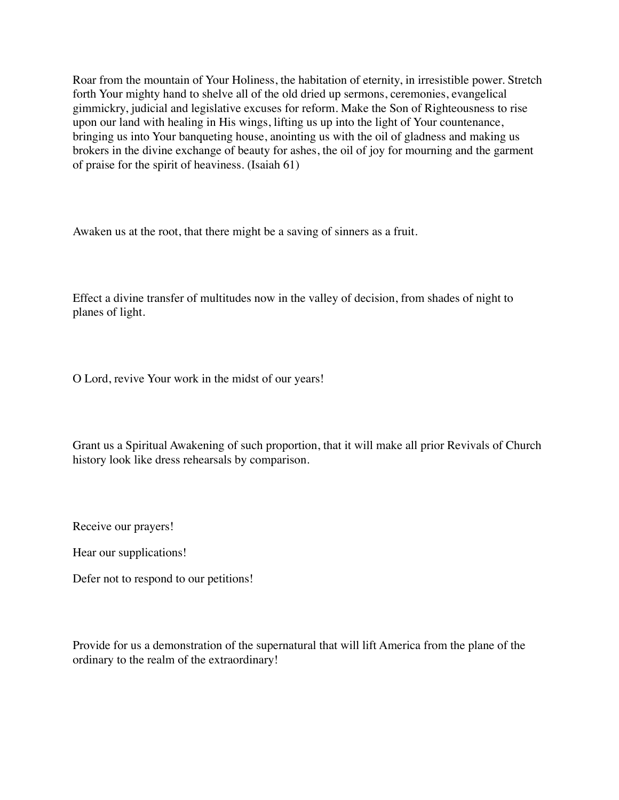Roar from the mountain of Your Holiness, the habitation of eternity, in irresistible power. Stretch forth Your mighty hand to shelve all of the old dried up sermons, ceremonies, evangelical gimmickry, judicial and legislative excuses for reform. Make the Son of Righteousness to rise upon our land with healing in His wings, lifting us up into the light of Your countenance, bringing us into Your banqueting house, anointing us with the oil of gladness and making us brokers in the divine exchange of beauty for ashes, the oil of joy for mourning and the garment of praise for the spirit of heaviness. (Isaiah 61)

Awaken us at the root, that there might be a saving of sinners as a fruit.

Effect a divine transfer of multitudes now in the valley of decision, from shades of night to planes of light.

O Lord, revive Your work in the midst of our years!

Grant us a Spiritual Awakening of such proportion, that it will make all prior Revivals of Church history look like dress rehearsals by comparison.

Receive our prayers!

Hear our supplications!

Defer not to respond to our petitions!

Provide for us a demonstration of the supernatural that will lift America from the plane of the ordinary to the realm of the extraordinary!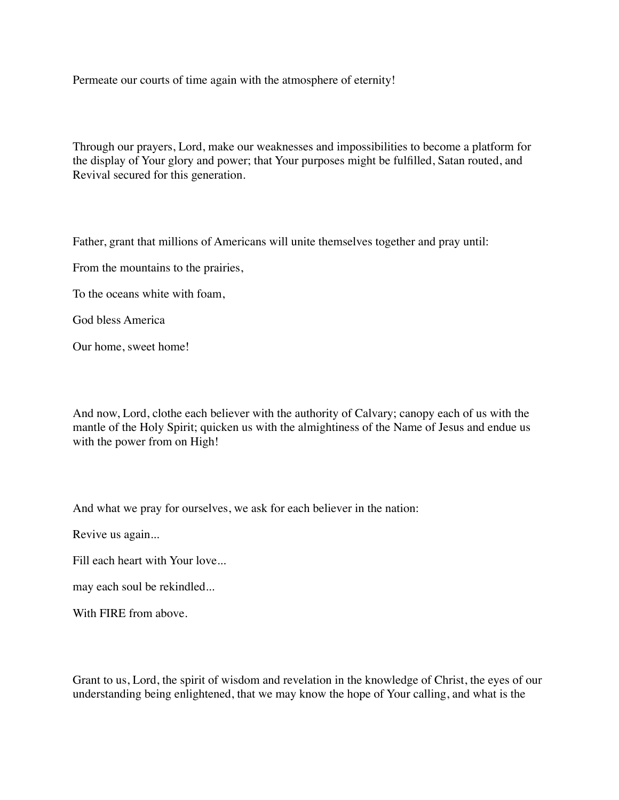Permeate our courts of time again with the atmosphere of eternity!

Through our prayers, Lord, make our weaknesses and impossibilities to become a platform for the display of Your glory and power; that Your purposes might be fulfilled, Satan routed, and Revival secured for this generation.

Father, grant that millions of Americans will unite themselves together and pray until:

From the mountains to the prairies,

To the oceans white with foam,

God bless America

Our home, sweet home!

And now, Lord, clothe each believer with the authority of Calvary; canopy each of us with the mantle of the Holy Spirit; quicken us with the almightiness of the Name of Jesus and endue us with the power from on High!

And what we pray for ourselves, we ask for each believer in the nation:

Revive us again...

Fill each heart with Your love...

may each soul be rekindled...

With FIRE from above.

Grant to us, Lord, the spirit of wisdom and revelation in the knowledge of Christ, the eyes of our understanding being enlightened, that we may know the hope of Your calling, and what is the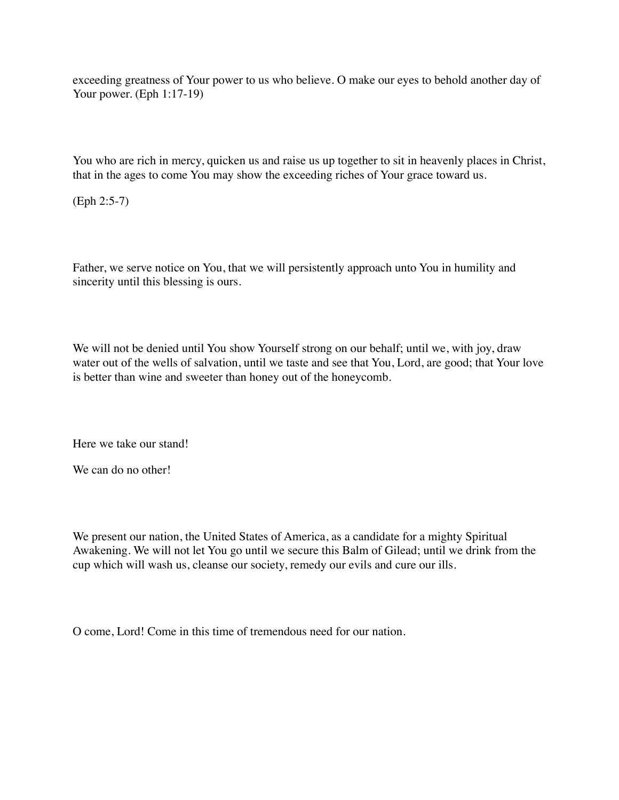exceeding greatness of Your power to us who believe. O make our eyes to behold another day of Your power. (Eph 1:17-19)

You who are rich in mercy, quicken us and raise us up together to sit in heavenly places in Christ, that in the ages to come You may show the exceeding riches of Your grace toward us.

(Eph 2:5-7)

Father, we serve notice on You, that we will persistently approach unto You in humility and sincerity until this blessing is ours.

We will not be denied until You show Yourself strong on our behalf; until we, with joy, draw water out of the wells of salvation, until we taste and see that You, Lord, are good; that Your love is better than wine and sweeter than honey out of the honeycomb.

Here we take our stand!

We can do no other!

We present our nation, the United States of America, as a candidate for a mighty Spiritual Awakening. We will not let You go until we secure this Balm of Gilead; until we drink from the cup which will wash us, cleanse our society, remedy our evils and cure our ills.

O come, Lord! Come in this time of tremendous need for our nation.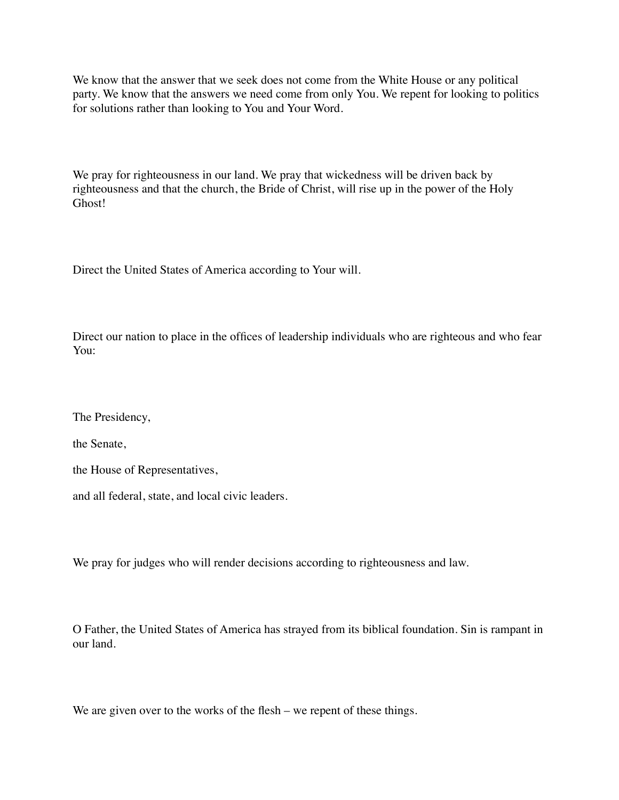We know that the answer that we seek does not come from the White House or any political party. We know that the answers we need come from only You. We repent for looking to politics for solutions rather than looking to You and Your Word.

We pray for righteousness in our land. We pray that wickedness will be driven back by righteousness and that the church, the Bride of Christ, will rise up in the power of the Holy Ghost!

Direct the United States of America according to Your will.

Direct our nation to place in the offices of leadership individuals who are righteous and who fear You:

The Presidency,

the Senate,

the House of Representatives,

and all federal, state, and local civic leaders.

We pray for judges who will render decisions according to righteousness and law.

O Father, the United States of America has strayed from its biblical foundation. Sin is rampant in our land.

We are given over to the works of the flesh – we repent of these things.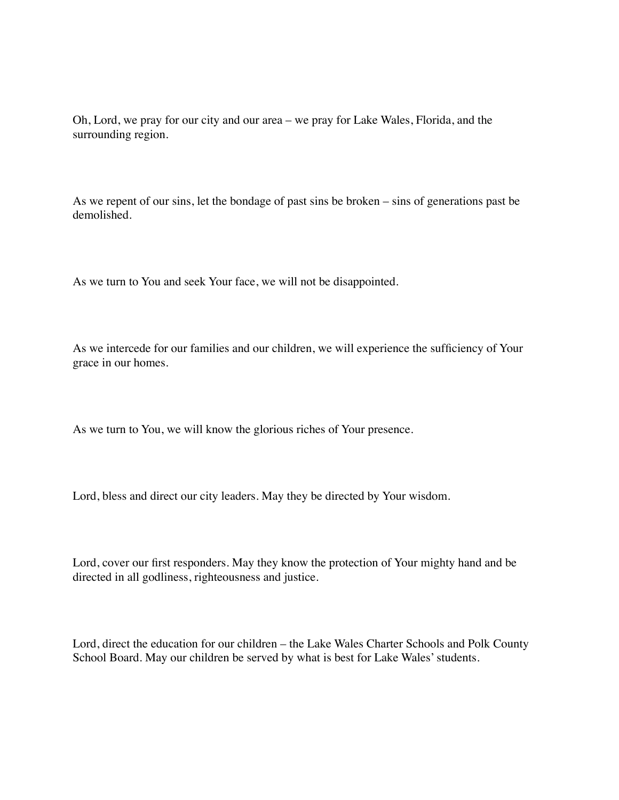Oh, Lord, we pray for our city and our area – we pray for Lake Wales, Florida, and the surrounding region.

As we repent of our sins, let the bondage of past sins be broken – sins of generations past be demolished.

As we turn to You and seek Your face, we will not be disappointed.

As we intercede for our families and our children, we will experience the sufficiency of Your grace in our homes.

As we turn to You, we will know the glorious riches of Your presence.

Lord, bless and direct our city leaders. May they be directed by Your wisdom.

Lord, cover our first responders. May they know the protection of Your mighty hand and be directed in all godliness, righteousness and justice.

Lord, direct the education for our children – the Lake Wales Charter Schools and Polk County School Board. May our children be served by what is best for Lake Wales' students.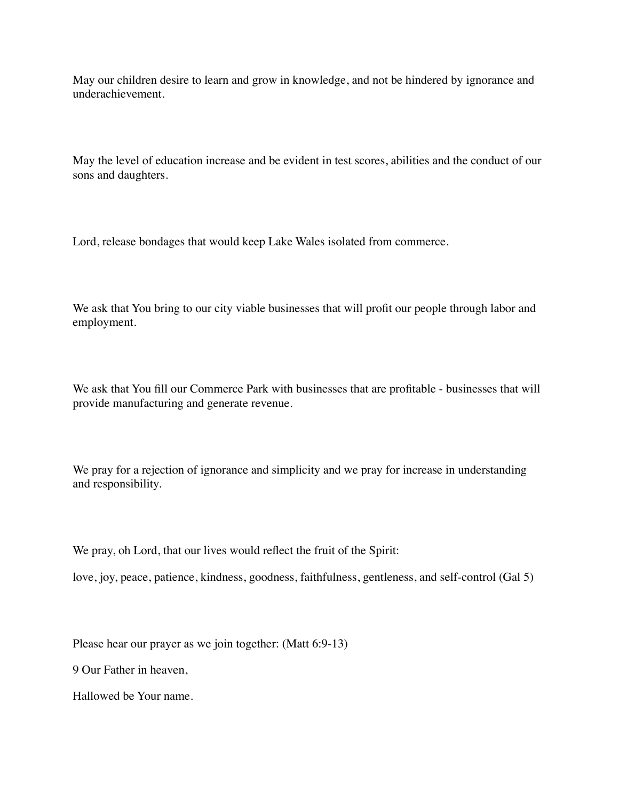May our children desire to learn and grow in knowledge, and not be hindered by ignorance and underachievement.

May the level of education increase and be evident in test scores, abilities and the conduct of our sons and daughters.

Lord, release bondages that would keep Lake Wales isolated from commerce.

We ask that You bring to our city viable businesses that will profit our people through labor and employment.

We ask that You fill our Commerce Park with businesses that are profitable - businesses that will provide manufacturing and generate revenue.

We pray for a rejection of ignorance and simplicity and we pray for increase in understanding and responsibility.

We pray, oh Lord, that our lives would reflect the fruit of the Spirit:

love, joy, peace, patience, kindness, goodness, faithfulness, gentleness, and self-control (Gal 5)

Please hear our prayer as we join together: (Matt 6:9-13)

9 Our Father in heaven,

Hallowed be Your name.